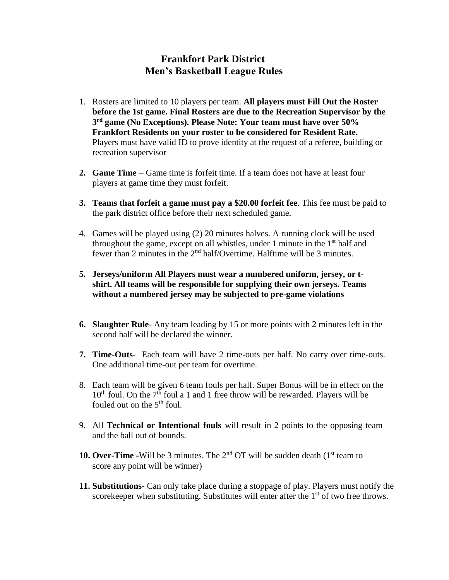## **Frankfort Park District Men's Basketball League Rules**

- 1. Rosters are limited to 10 players per team. **All players must Fill Out the Roster before the 1st game. Final Rosters are due to the Recreation Supervisor by the 3 rd game (No Exceptions). Please Note: Your team must have over 50% Frankfort Residents on your roster to be considered for Resident Rate.**  Players must have valid ID to prove identity at the request of a referee, building or recreation supervisor
- **2. Game Time**  Game time is forfeit time. If a team does not have at least four players at game time they must forfeit.
- **3. Teams that forfeit a game must pay a \$20.00 forfeit fee**. This fee must be paid to the park district office before their next scheduled game.
- 4. Games will be played using (2) 20 minutes halves. A running clock will be used throughout the game, except on all whistles, under 1 minute in the 1<sup>st</sup> half and fewer than 2 minutes in the  $2<sup>nd</sup>$  half/Overtime. Halftime will be 3 minutes.
- **5. Jerseys/uniform All Players must wear a numbered uniform, jersey, or tshirt. All teams will be responsible for supplying their own jerseys. Teams without a numbered jersey may be subjected to pre-game violations**
- **6. Slaughter Rule** Any team leading by 15 or more points with 2 minutes left in the second half will be declared the winner.
- **7. Time-Outs** Each team will have 2 time-outs per half. No carry over time-outs. One additional time-out per team for overtime.
- 8. Each team will be given 6 team fouls per half. Super Bonus will be in effect on the  $10^{th}$  foul. On the  $7^{th}$  foul a 1 and 1 free throw will be rewarded. Players will be fouled out on the 5<sup>th</sup> foul.
- 9. All **Technical or Intentional fouls** will result in 2 points to the opposing team and the ball out of bounds.
- **10. Over-Time -**Will be 3 minutes. The 2<sup>nd</sup> OT will be sudden death (1<sup>st</sup> team to score any point will be winner)
- **11. Substitutions-** Can only take place during a stoppage of play. Players must notify the scorekeeper when substituting. Substitutes will enter after the  $1<sup>st</sup>$  of two free throws.